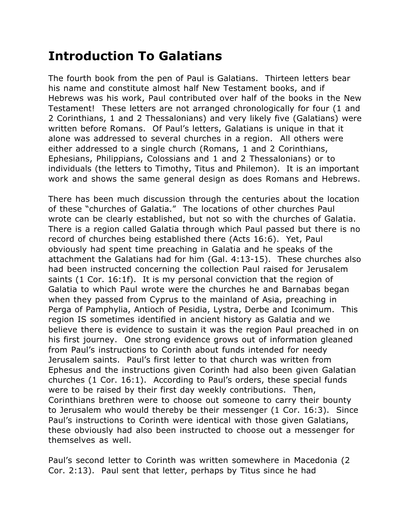## **Introduction To Galatians**

The fourth book from the pen of Paul is Galatians. Thirteen letters bear his name and constitute almost half New Testament books, and if Hebrews was his work, Paul contributed over half of the books in the New Testament! These letters are not arranged chronologically for four (1 and 2 Corinthians, 1 and 2 Thessalonians) and very likely five (Galatians) were written before Romans. Of Paul's letters, Galatians is unique in that it alone was addressed to several churches in a region. All others were either addressed to a single church (Romans, 1 and 2 Corinthians, Ephesians, Philippians, Colossians and 1 and 2 Thessalonians) or to individuals (the letters to Timothy, Titus and Philemon). It is an important work and shows the same general design as does Romans and Hebrews.

There has been much discussion through the centuries about the location of these "churches of Galatia." The locations of other churches Paul wrote can be clearly established, but not so with the churches of Galatia. There is a region called Galatia through which Paul passed but there is no record of churches being established there (Acts 16:6). Yet, Paul obviously had spent time preaching in Galatia and he speaks of the attachment the Galatians had for him (Gal. 4:13-15). These churches also had been instructed concerning the collection Paul raised for Jerusalem saints (1 Cor. 16:1f). It is my personal conviction that the region of Galatia to which Paul wrote were the churches he and Barnabas began when they passed from Cyprus to the mainland of Asia, preaching in Perga of Pamphylia, Antioch of Pesidia, Lystra, Derbe and Iconimum. This region IS sometimes identified in ancient history as Galatia and we believe there is evidence to sustain it was the region Paul preached in on his first journey. One strong evidence grows out of information gleaned from Paul's instructions to Corinth about funds intended for needy Jerusalem saints. Paul's first letter to that church was written from Ephesus and the instructions given Corinth had also been given Galatian churches (1 Cor. 16:1). According to Paul's orders, these special funds were to be raised by their first day weekly contributions. Then, Corinthians brethren were to choose out someone to carry their bounty to Jerusalem who would thereby be their messenger (1 Cor. 16:3). Since Paul's instructions to Corinth were identical with those given Galatians, these obviously had also been instructed to choose out a messenger for themselves as well.

Paul's second letter to Corinth was written somewhere in Macedonia (2 Cor. 2:13). Paul sent that letter, perhaps by Titus since he had